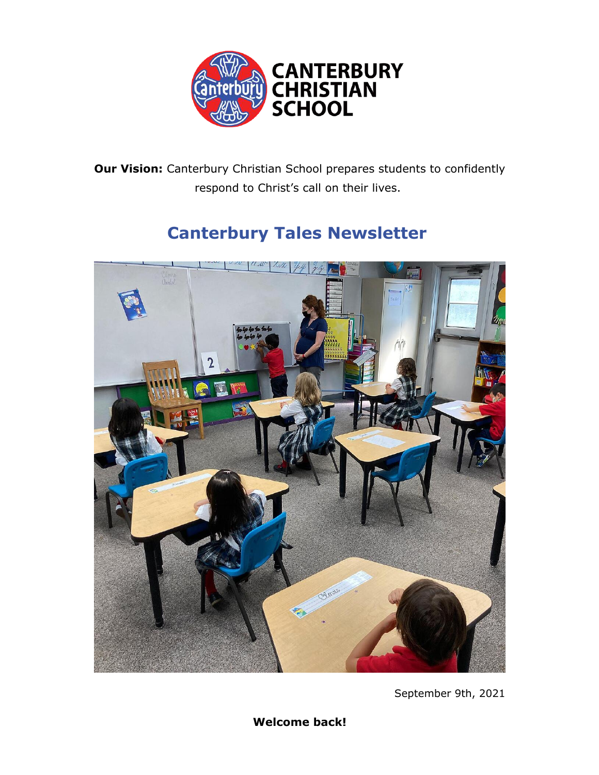

**Our Vision:** Canterbury Christian School prepares students to confidently respond to Christ's call on their lives.

# **Canterbury Tales Newsletter**



September 9th, 2021

**Welcome back!**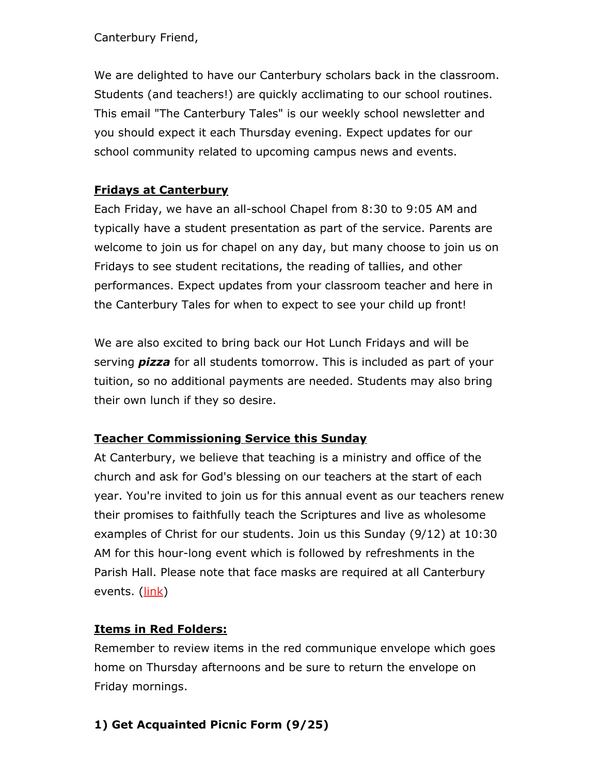Canterbury Friend,

We are delighted to have our Canterbury scholars back in the classroom. Students (and teachers!) are quickly acclimating to our school routines. This email "The Canterbury Tales" is our weekly school newsletter and you should expect it each Thursday evening. Expect updates for our school community related to upcoming campus news and events.

## **Fridays at Canterbury**

Each Friday, we have an all-school Chapel from 8:30 to 9:05 AM and typically have a student presentation as part of the service. Parents are welcome to join us for chapel on any day, but many choose to join us on Fridays to see student recitations, the reading of tallies, and other performances. Expect updates from your classroom teacher and here in the Canterbury Tales for when to expect to see your child up front!

We are also excited to bring back our Hot Lunch Fridays and will be serving *pizza* for all students tomorrow. This is included as part of your tuition, so no additional payments are needed. Students may also bring their own lunch if they so desire.

## **Teacher Commissioning Service this Sunday**

At Canterbury, we believe that teaching is a ministry and office of the church and ask for God's blessing on our teachers at the start of each year. You're invited to join us for this annual event as our teachers renew their promises to faithfully teach the Scriptures and live as wholesome examples of Christ for our students. Join us this Sunday (9/12) at 10:30 AM for this hour-long event which is followed by refreshments in the Parish Hall. Please note that face masks are required at all Canterbury events. (link)

## **Items in Red Folders:**

Remember to review items in the red communique envelope which goes home on Thursday afternoons and be sure to return the envelope on Friday mornings.

## **1) Get Acquainted Picnic Form (9/25)**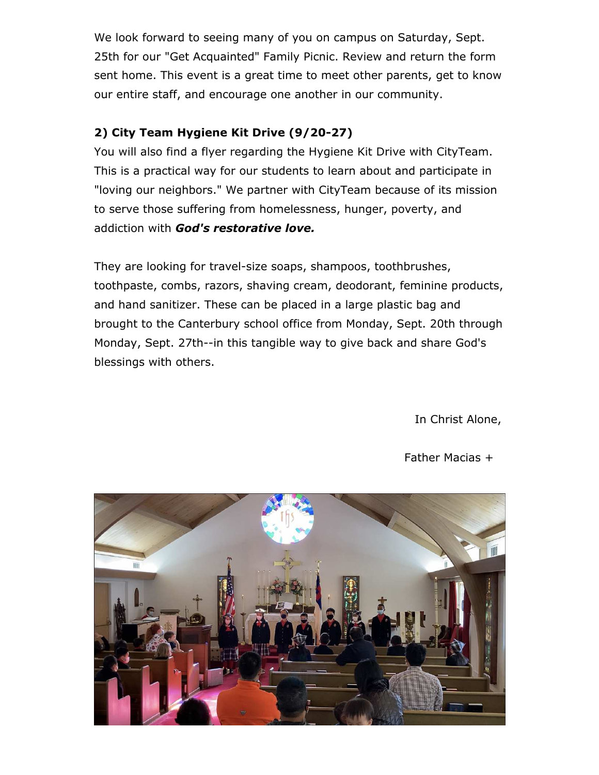We look forward to seeing many of you on campus on Saturday, Sept. 25th for our "Get Acquainted" Family Picnic. Review and return the form sent home. This event is a great time to meet other parents, get to know our entire staff, and encourage one another in our community.

## **2) City Team Hygiene Kit Drive (9/20-27)**

You will also find a flyer regarding the Hygiene Kit Drive with CityTeam. This is a practical way for our students to learn about and participate in "loving our neighbors." We partner with CityTeam because of its mission to serve those suffering from homelessness, hunger, poverty, and addiction with *God's restorative love.*

They are looking for travel-size soaps, shampoos, toothbrushes, toothpaste, combs, razors, shaving cream, deodorant, feminine products, and hand sanitizer. These can be placed in a large plastic bag and brought to the Canterbury school office from Monday, Sept. 20th through Monday, Sept. 27th--in this tangible way to give back and share God's blessings with others.

In Christ Alone,

#### Father Macias +